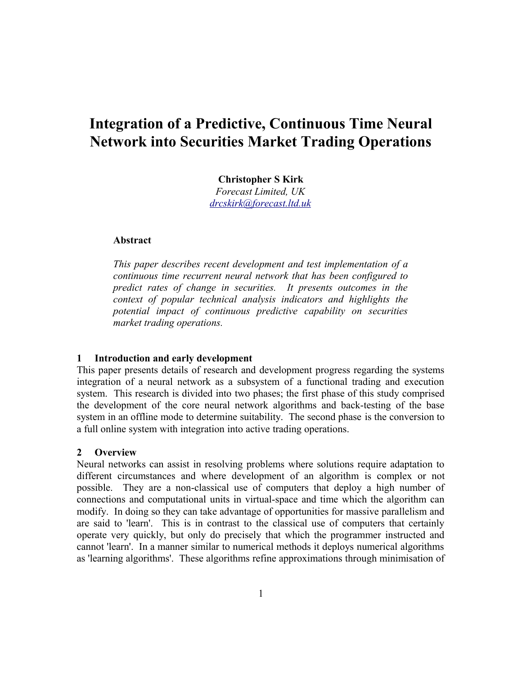# **Integration of a Predictive, Continuous Time Neural Network into Securities Market Trading Operations**

**Christopher S Kirk**

*Forecast Limited, UK [drcskirk@forecast.ltd.uk](mailto:drcskirk@forecast.ltd.uk)*

# **Abstract**

*This paper describes recent development and test implementation of a continuous time recurrent neural network that has been configured to predict rates of change in securities. It presents outcomes in the context of popular technical analysis indicators and highlights the potential impact of continuous predictive capability on securities market trading operations.*

# **1 Introduction and early development**

This paper presents details of research and development progress regarding the systems integration of a neural network as a subsystem of a functional trading and execution system. This research is divided into two phases; the first phase of this study comprised the development of the core neural network algorithms and back-testing of the base system in an offline mode to determine suitability. The second phase is the conversion to a full online system with integration into active trading operations.

# **2 Overview**

Neural networks can assist in resolving problems where solutions require adaptation to different circumstances and where development of an algorithm is complex or not possible. They are a non-classical use of computers that deploy a high number of connections and computational units in virtual-space and time which the algorithm can modify. In doing so they can take advantage of opportunities for massive parallelism and are said to 'learn'. This is in contrast to the classical use of computers that certainly operate very quickly, but only do precisely that which the programmer instructed and cannot 'learn'. In a manner similar to numerical methods it deploys numerical algorithms as 'learning algorithms'. These algorithms refine approximations through minimisation of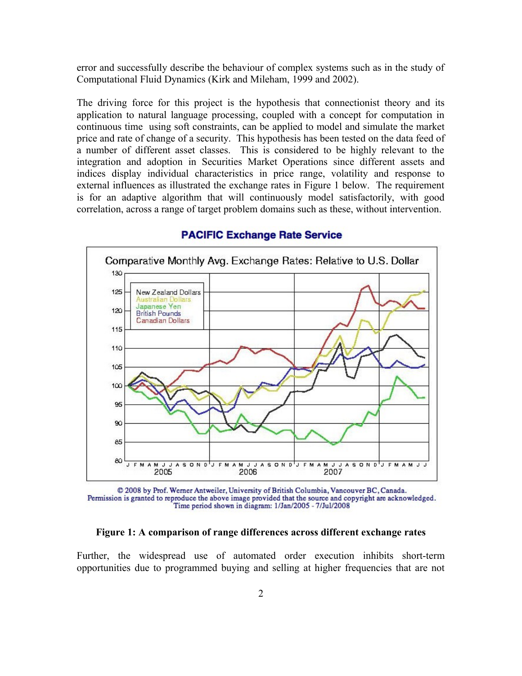error and successfully describe the behaviour of complex systems such as in the study of Computational Fluid Dynamics (Kirk and Mileham, 1999 and 2002).

The driving force for this project is the hypothesis that connectionist theory and its application to natural language processing, coupled with a concept for computation in continuous time using soft constraints, can be applied to model and simulate the market price and rate of change of a security. This hypothesis has been tested on the data feed of a number of different asset classes. This is considered to be highly relevant to the integration and adoption in Securities Market Operations since different assets and indices display individual characteristics in price range, volatility and response to external influences as illustrated the exchange rates in Figure 1 below. The requirement is for an adaptive algorithm that will continuously model satisfactorily, with good correlation, across a range of target problem domains such as these, without intervention.



# **PACIFIC Exchange Rate Service**

@ 2008 by Prof. Werner Antweiler, University of British Columbia, Vancouver BC, Canada. Permission is granted to reproduce the above image provided that the source and copyright are acknowledged. Time period shown in diagram: 1/Jan/2005 - 7/Jul/2008

#### **Figure 1: A comparison of range differences across different exchange rates**

Further, the widespread use of automated order execution inhibits short-term opportunities due to programmed buying and selling at higher frequencies that are not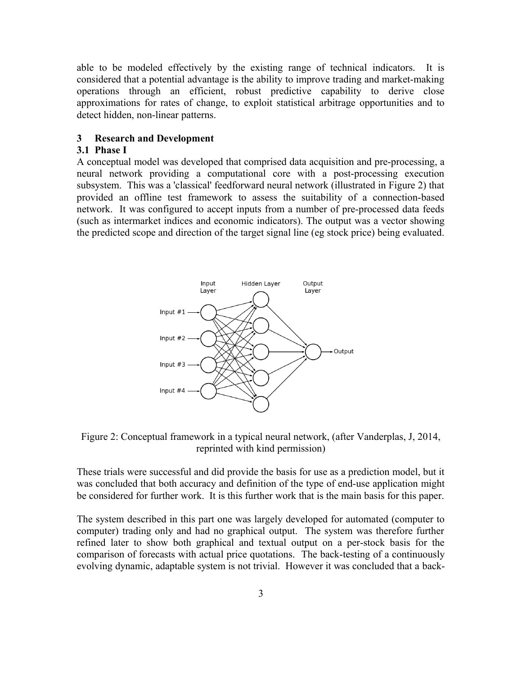able to be modeled effectively by the existing range of technical indicators. It is considered that a potential advantage is the ability to improve trading and market-making operations through an efficient, robust predictive capability to derive close approximations for rates of change, to exploit statistical arbitrage opportunities and to detect hidden, non-linear patterns.

# **3 Research and Development**

# **3.1 Phase I**

A conceptual model was developed that comprised data acquisition and pre-processing, a neural network providing a computational core with a post-processing execution subsystem. This was a 'classical' feedforward neural network (illustrated in Figure 2) that provided an offline test framework to assess the suitability of a connection-based network. It was configured to accept inputs from a number of pre-processed data feeds (such as intermarket indices and economic indicators). The output was a vector showing the predicted scope and direction of the target signal line (eg stock price) being evaluated.



Figure 2: Conceptual framework in a typical neural network, (after Vanderplas, J, 2014, reprinted with kind permission)

These trials were successful and did provide the basis for use as a prediction model, but it was concluded that both accuracy and definition of the type of end-use application might be considered for further work. It is this further work that is the main basis for this paper.

The system described in this part one was largely developed for automated (computer to computer) trading only and had no graphical output. The system was therefore further refined later to show both graphical and textual output on a per-stock basis for the comparison of forecasts with actual price quotations. The back-testing of a continuously evolving dynamic, adaptable system is not trivial. However it was concluded that a back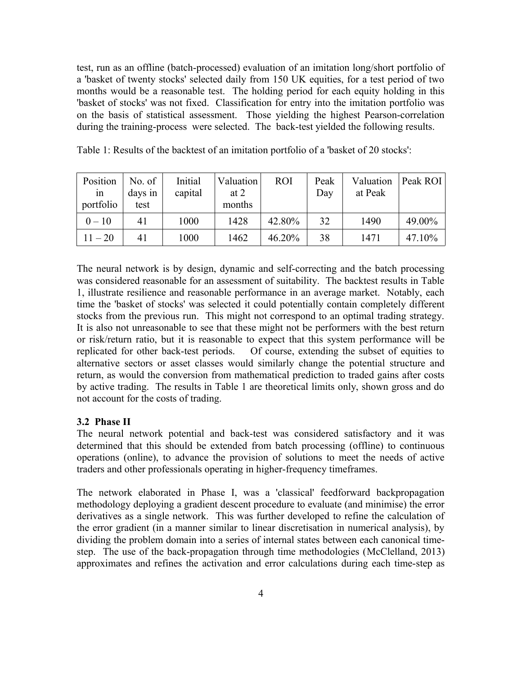test, run as an offline (batch-processed) evaluation of an imitation long/short portfolio of a 'basket of twenty stocks' selected daily from 150 UK equities, for a test period of two months would be a reasonable test. The holding period for each equity holding in this 'basket of stocks' was not fixed. Classification for entry into the imitation portfolio was on the basis of statistical assessment. Those yielding the highest Pearson-correlation during the training-process were selected. The back-test yielded the following results.

| Position<br>1n<br>portfolio | No. of<br>days in<br>test | Initial<br>capital | Valuation<br>at $2$<br>months | <b>ROI</b> | Peak<br>Day | Valuation<br>at Peak | Peak ROI |
|-----------------------------|---------------------------|--------------------|-------------------------------|------------|-------------|----------------------|----------|
| $0 - 10$                    | 41                        | 1000               | 1428                          | 42.80%     | 32          | 1490                 | 49.00%   |
| $11 - 20$                   | 41                        | 1000               | 1462                          | 46.20%     | 38          | 1471                 | 47.10%   |

Table 1: Results of the backtest of an imitation portfolio of a 'basket of 20 stocks':

The neural network is by design, dynamic and self-correcting and the batch processing was considered reasonable for an assessment of suitability. The backtest results in Table 1, illustrate resilience and reasonable performance in an average market. Notably, each time the 'basket of stocks' was selected it could potentially contain completely different stocks from the previous run. This might not correspond to an optimal trading strategy. It is also not unreasonable to see that these might not be performers with the best return or risk/return ratio, but it is reasonable to expect that this system performance will be replicated for other back-test periods. Of course, extending the subset of equities to alternative sectors or asset classes would similarly change the potential structure and return, as would the conversion from mathematical prediction to traded gains after costs by active trading. The results in Table 1 are theoretical limits only, shown gross and do not account for the costs of trading.

# **3.2 Phase II**

The neural network potential and back-test was considered satisfactory and it was determined that this should be extended from batch processing (offline) to continuous operations (online), to advance the provision of solutions to meet the needs of active traders and other professionals operating in higher-frequency timeframes.

The network elaborated in Phase I, was a 'classical' feedforward backpropagation methodology deploying a gradient descent procedure to evaluate (and minimise) the error derivatives as a single network. This was further developed to refine the calculation of the error gradient (in a manner similar to linear discretisation in numerical analysis), by dividing the problem domain into a series of internal states between each canonical timestep. The use of the back-propagation through time methodologies (McClelland, 2013) approximates and refines the activation and error calculations during each time-step as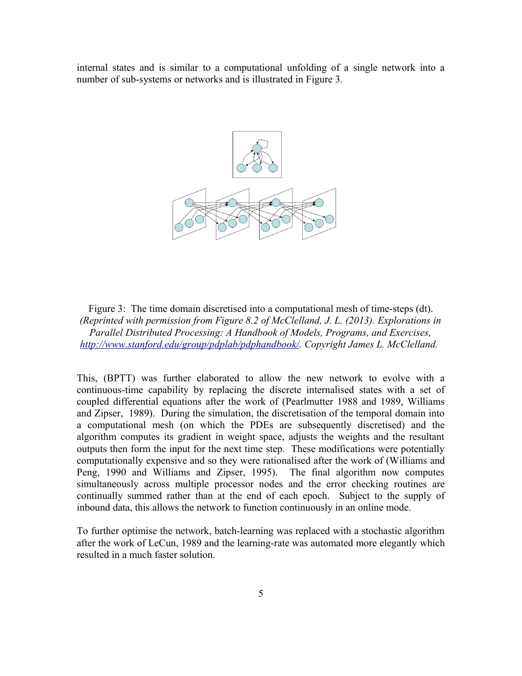internal states and is similar to a computational unfolding of a single network into a number of sub-systems or networks and is illustrated in Figure 3.



Figure 3: The time domain discretised into a computational mesh of time-steps (dt). *(Reprinted with permission from Figure 8.2 of McClelland, J. L. (2013). Explorations in Parallel Distributed Processing: A Handbook of Models, Programs, and Exercises, [http://www.stanford.edu/group/pdplab/pdphandbook/.](http://www.stanford.edu/group/pdplab/pdphandbook/) Copyright James L. McClelland.* 

This, (BPTT) was further elaborated to allow the new network to evolve with a continuous-time capability by replacing the discrete internalised states with a set of coupled differential equations after the work of (Pearlmutter 1988 and 1989, Williams and Zipser, 1989). During the simulation, the discretisation of the temporal domain into a computational mesh (on which the PDEs are subsequently discretised) and the algorithm computes its gradient in weight space, adjusts the weights and the resultant outputs then form the input for the next time step. These modifications were potentially computationally expensive and so they were rationalised after the work of (Williams and Peng, 1990 and Williams and Zipser, 1995). The final algorithm now computes simultaneously across multiple processor nodes and the error checking routines are continually summed rather than at the end of each epoch. Subject to the supply of inbound data, this allows the network to function continuously in an online mode.

To further optimise the network, batch-learning was replaced with a stochastic algorithm after the work of LeCun, 1989 and the learning-rate was automated more elegantly which resulted in a much faster solution.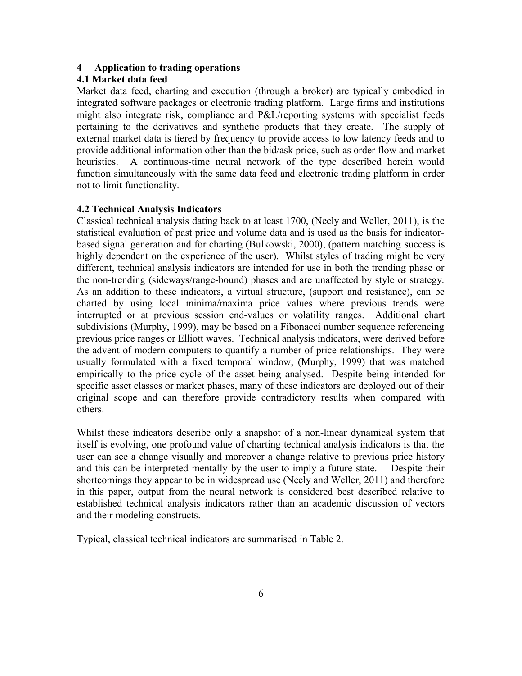# **4 Application to trading operations**

# **4.1 Market data feed**

Market data feed, charting and execution (through a broker) are typically embodied in integrated software packages or electronic trading platform. Large firms and institutions might also integrate risk, compliance and P&L/reporting systems with specialist feeds pertaining to the derivatives and synthetic products that they create. The supply of external market data is tiered by frequency to provide access to low latency feeds and to provide additional information other than the bid/ask price, such as order flow and market heuristics. A continuous-time neural network of the type described herein would function simultaneously with the same data feed and electronic trading platform in order not to limit functionality.

## **4.2 Technical Analysis Indicators**

Classical technical analysis dating back to at least 1700, (Neely and Weller, 2011), is the statistical evaluation of past price and volume data and is used as the basis for indicatorbased signal generation and for charting (Bulkowski, 2000), (pattern matching success is highly dependent on the experience of the user). Whilst styles of trading might be very different, technical analysis indicators are intended for use in both the trending phase or the non-trending (sideways/range-bound) phases and are unaffected by style or strategy. As an addition to these indicators, a virtual structure, (support and resistance), can be charted by using local minima/maxima price values where previous trends were interrupted or at previous session end-values or volatility ranges. Additional chart subdivisions (Murphy, 1999), may be based on a Fibonacci number sequence referencing previous price ranges or Elliott waves. Technical analysis indicators, were derived before the advent of modern computers to quantify a number of price relationships. They were usually formulated with a fixed temporal window, (Murphy, 1999) that was matched empirically to the price cycle of the asset being analysed. Despite being intended for specific asset classes or market phases, many of these indicators are deployed out of their original scope and can therefore provide contradictory results when compared with others.

Whilst these indicators describe only a snapshot of a non-linear dynamical system that itself is evolving, one profound value of charting technical analysis indicators is that the user can see a change visually and moreover a change relative to previous price history and this can be interpreted mentally by the user to imply a future state. Despite their shortcomings they appear to be in widespread use (Neely and Weller, 2011) and therefore in this paper, output from the neural network is considered best described relative to established technical analysis indicators rather than an academic discussion of vectors and their modeling constructs.

Typical, classical technical indicators are summarised in Table 2.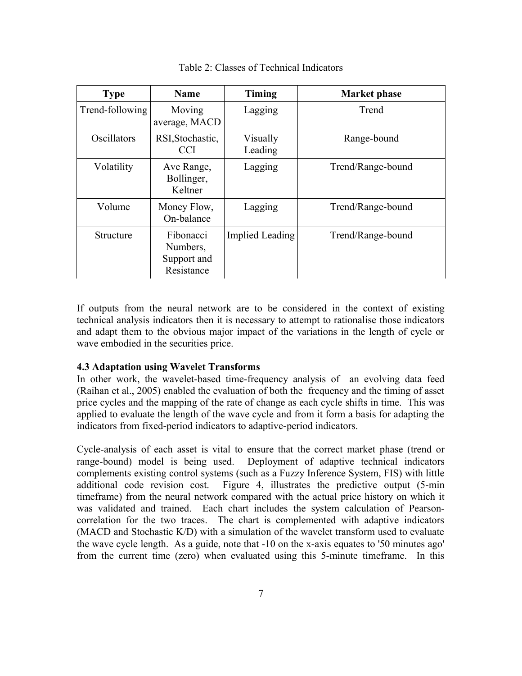| <b>Type</b>     | <b>Name</b>                                        | <b>Timing</b>       | <b>Market phase</b> |
|-----------------|----------------------------------------------------|---------------------|---------------------|
| Trend-following | Moving<br>average, MACD                            | Lagging             | Trend               |
| Oscillators     | RSI, Stochastic,<br>CCI                            | Visually<br>Leading | Range-bound         |
| Volatility      | Ave Range,<br>Bollinger,<br>Keltner                | Lagging             | Trend/Range-bound   |
| Volume          | Money Flow,<br>On-balance                          | Lagging             | Trend/Range-bound   |
| Structure       | Fibonacci<br>Numbers,<br>Support and<br>Resistance | Implied Leading     | Trend/Range-bound   |

Table 2: Classes of Technical Indicators

If outputs from the neural network are to be considered in the context of existing technical analysis indicators then it is necessary to attempt to rationalise those indicators and adapt them to the obvious major impact of the variations in the length of cycle or wave embodied in the securities price.

# **4.3 Adaptation using Wavelet Transforms**

In other work, the wavelet-based time-frequency analysis of an evolving data feed (Raihan et al., 2005) enabled the evaluation of both the frequency and the timing of asset price cycles and the mapping of the rate of change as each cycle shifts in time. This was applied to evaluate the length of the wave cycle and from it form a basis for adapting the indicators from fixed-period indicators to adaptive-period indicators.

Cycle-analysis of each asset is vital to ensure that the correct market phase (trend or range-bound) model is being used. Deployment of adaptive technical indicators complements existing control systems (such as a Fuzzy Inference System, FIS) with little additional code revision cost. Figure 4, illustrates the predictive output (5-min timeframe) from the neural network compared with the actual price history on which it was validated and trained. Each chart includes the system calculation of Pearsoncorrelation for the two traces. The chart is complemented with adaptive indicators (MACD and Stochastic K/D) with a simulation of the wavelet transform used to evaluate the wave cycle length. As a guide, note that -10 on the x-axis equates to '50 minutes ago' from the current time (zero) when evaluated using this 5-minute timeframe. In this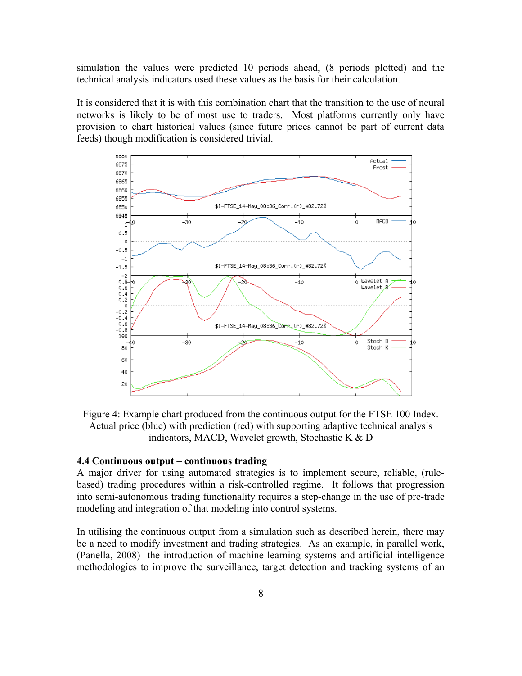simulation the values were predicted 10 periods ahead, (8 periods plotted) and the technical analysis indicators used these values as the basis for their calculation.

It is considered that it is with this combination chart that the transition to the use of neural networks is likely to be of most use to traders. Most platforms currently only have provision to chart historical values (since future prices cannot be part of current data feeds) though modification is considered trivial.



Figure 4: Example chart produced from the continuous output for the FTSE 100 Index. Actual price (blue) with prediction (red) with supporting adaptive technical analysis indicators, MACD, Wavelet growth, Stochastic K & D

# **4.4 Continuous output – continuous trading**

A major driver for using automated strategies is to implement secure, reliable, (rulebased) trading procedures within a risk-controlled regime. It follows that progression into semi-autonomous trading functionality requires a step-change in the use of pre-trade modeling and integration of that modeling into control systems.

In utilising the continuous output from a simulation such as described herein, there may be a need to modify investment and trading strategies. As an example, in parallel work, (Panella, 2008) the introduction of machine learning systems and artificial intelligence methodologies to improve the surveillance, target detection and tracking systems of an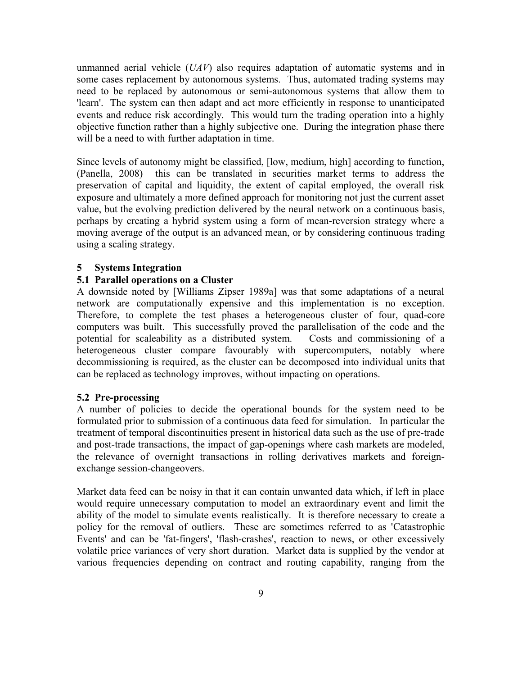unmanned aerial vehicle (*UAV*) also requires adaptation of automatic systems and in some cases replacement by autonomous systems. Thus, automated trading systems may need to be replaced by autonomous or semi-autonomous systems that allow them to 'learn'. The system can then adapt and act more efficiently in response to unanticipated events and reduce risk accordingly. This would turn the trading operation into a highly objective function rather than a highly subjective one. During the integration phase there will be a need to with further adaptation in time.

Since levels of autonomy might be classified, [low, medium, high] according to function, (Panella, 2008) this can be translated in securities market terms to address the preservation of capital and liquidity, the extent of capital employed, the overall risk exposure and ultimately a more defined approach for monitoring not just the current asset value, but the evolving prediction delivered by the neural network on a continuous basis, perhaps by creating a hybrid system using a form of mean-reversion strategy where a moving average of the output is an advanced mean, or by considering continuous trading using a scaling strategy.

#### **5 Systems Integration**

# **5.1 Parallel operations on a Cluster**

A downside noted by [Williams Zipser 1989a] was that some adaptations of a neural network are computationally expensive and this implementation is no exception. Therefore, to complete the test phases a heterogeneous cluster of four, quad-core computers was built. This successfully proved the parallelisation of the code and the potential for scaleability as a distributed system. Costs and commissioning of a heterogeneous cluster compare favourably with supercomputers, notably where decommissioning is required, as the cluster can be decomposed into individual units that can be replaced as technology improves, without impacting on operations.

#### **5.2 Pre-processing**

A number of policies to decide the operational bounds for the system need to be formulated prior to submission of a continuous data feed for simulation. In particular the treatment of temporal discontinuities present in historical data such as the use of pre-trade and post-trade transactions, the impact of gap-openings where cash markets are modeled, the relevance of overnight transactions in rolling derivatives markets and foreignexchange session-changeovers.

Market data feed can be noisy in that it can contain unwanted data which, if left in place would require unnecessary computation to model an extraordinary event and limit the ability of the model to simulate events realistically. It is therefore necessary to create a policy for the removal of outliers. These are sometimes referred to as 'Catastrophic Events' and can be 'fat-fingers', 'flash-crashes', reaction to news, or other excessively volatile price variances of very short duration. Market data is supplied by the vendor at various frequencies depending on contract and routing capability, ranging from the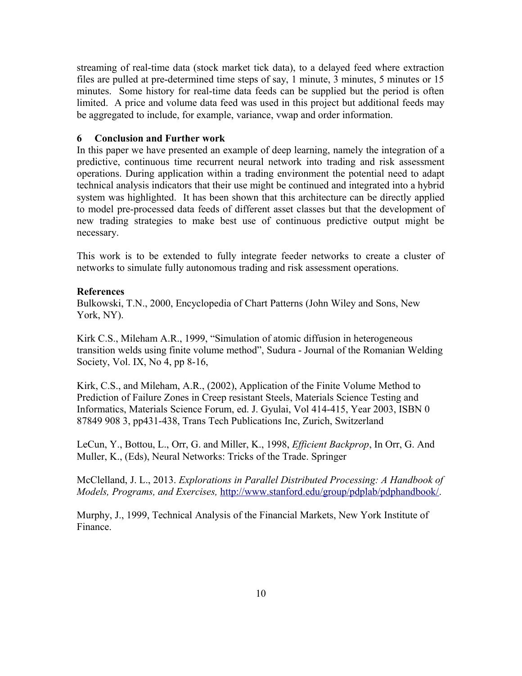streaming of real-time data (stock market tick data), to a delayed feed where extraction files are pulled at pre-determined time steps of say, 1 minute, 3 minutes, 5 minutes or 15 minutes. Some history for real-time data feeds can be supplied but the period is often limited. A price and volume data feed was used in this project but additional feeds may be aggregated to include, for example, variance, vwap and order information.

## **6 Conclusion and Further work**

In this paper we have presented an example of deep learning, namely the integration of a predictive, continuous time recurrent neural network into trading and risk assessment operations. During application within a trading environment the potential need to adapt technical analysis indicators that their use might be continued and integrated into a hybrid system was highlighted. It has been shown that this architecture can be directly applied to model pre-processed data feeds of different asset classes but that the development of new trading strategies to make best use of continuous predictive output might be necessary.

This work is to be extended to fully integrate feeder networks to create a cluster of networks to simulate fully autonomous trading and risk assessment operations.

#### **References**

Bulkowski, T.N., 2000, Encyclopedia of Chart Patterns (John Wiley and Sons, New York, NY).

Kirk C.S., Mileham A.R., 1999, "Simulation of atomic diffusion in heterogeneous transition welds using finite volume method", Sudura - Journal of the Romanian Welding Society, Vol. IX, No 4, pp 8-16,

Kirk, C.S., and Mileham, A.R., (2002), Application of the Finite Volume Method to Prediction of Failure Zones in Creep resistant Steels, Materials Science Testing and Informatics, Materials Science Forum, ed. J. Gyulai, Vol 414-415, Year 2003, ISBN 0 87849 908 3, pp431-438, Trans Tech Publications Inc, Zurich, Switzerland

LeCun, Y., Bottou, L., Orr, G. and Miller, K., 1998, *Efficient Backprop*, In Orr, G. And Muller, K., (Eds), Neural Networks: Tricks of the Trade. Springer

McClelland, J. L., 2013. *Explorations in Parallel Distributed Processing: A Handbook of Models, Programs, and Exercises,* [http://www.stanford.edu/group/pdplab/pdphandbook/.](http://www.stanford.edu/group/pdplab/pdphandbook/)

Murphy, J., 1999, Technical Analysis of the Financial Markets, New York Institute of Finance.